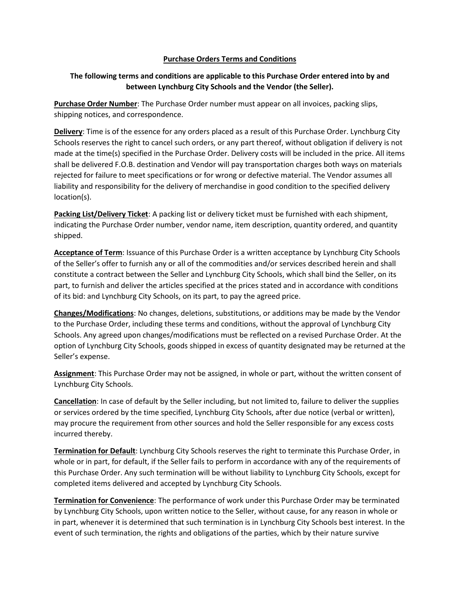## **Purchase Orders Terms and Conditions**

## **The following terms and conditions are applicable to this Purchase Order entered into by and between Lynchburg City Schools and the Vendor (the Seller).**

**Purchase Order Number**: The Purchase Order number must appear on all invoices, packing slips, shipping notices, and correspondence.

**Delivery**: Time is of the essence for any orders placed as a result of this Purchase Order. Lynchburg City Schools reserves the right to cancel such orders, or any part thereof, without obligation if delivery is not made at the time(s) specified in the Purchase Order. Delivery costs will be included in the price. All items shall be delivered F.O.B. destination and Vendor will pay transportation charges both ways on materials rejected for failure to meet specifications or for wrong or defective material. The Vendor assumes all liability and responsibility for the delivery of merchandise in good condition to the specified delivery location(s).

**Packing List/Delivery Ticket**: A packing list or delivery ticket must be furnished with each shipment, indicating the Purchase Order number, vendor name, item description, quantity ordered, and quantity shipped.

**Acceptance of Term**: Issuance of this Purchase Order is a written acceptance by Lynchburg City Schools of the Seller's offer to furnish any or all of the commodities and/or services described herein and shall constitute a contract between the Seller and Lynchburg City Schools, which shall bind the Seller, on its part, to furnish and deliver the articles specified at the prices stated and in accordance with conditions of its bid: and Lynchburg City Schools, on its part, to pay the agreed price.

**Changes/Modifications**: No changes, deletions, substitutions, or additions may be made by the Vendor to the Purchase Order, including these terms and conditions, without the approval of Lynchburg City Schools. Any agreed upon changes/modifications must be reflected on a revised Purchase Order. At the option of Lynchburg City Schools, goods shipped in excess of quantity designated may be returned at the Seller's expense.

**Assignment**: This Purchase Order may not be assigned, in whole or part, without the written consent of Lynchburg City Schools.

**Cancellation**: In case of default by the Seller including, but not limited to, failure to deliver the supplies or services ordered by the time specified, Lynchburg City Schools, after due notice (verbal or written), may procure the requirement from other sources and hold the Seller responsible for any excess costs incurred thereby.

**Termination for Default**: Lynchburg City Schools reserves the right to terminate this Purchase Order, in whole or in part, for default, if the Seller fails to perform in accordance with any of the requirements of this Purchase Order. Any such termination will be without liability to Lynchburg City Schools, except for completed items delivered and accepted by Lynchburg City Schools.

**Termination for Convenience**: The performance of work under this Purchase Order may be terminated by Lynchburg City Schools, upon written notice to the Seller, without cause, for any reason in whole or in part, whenever it is determined that such termination is in Lynchburg City Schools best interest. In the event of such termination, the rights and obligations of the parties, which by their nature survive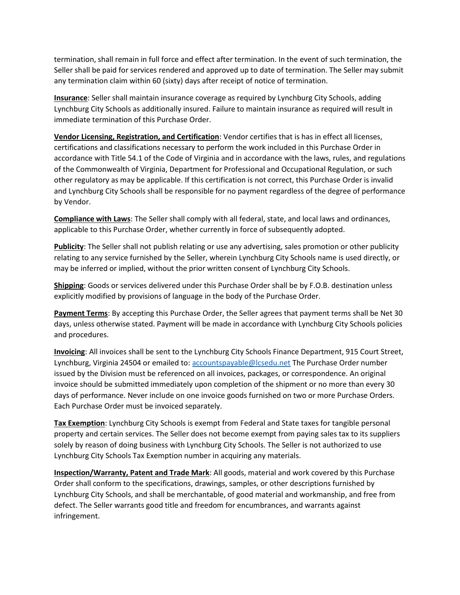termination, shall remain in full force and effect after termination. In the event of such termination, the Seller shall be paid for services rendered and approved up to date of termination. The Seller may submit any termination claim within 60 (sixty) days after receipt of notice of termination.

**Insurance**: Seller shall maintain insurance coverage as required by Lynchburg City Schools, adding Lynchburg City Schools as additionally insured. Failure to maintain insurance as required will result in immediate termination of this Purchase Order.

**Vendor Licensing, Registration, and Certification**: Vendor certifies that is has in effect all licenses, certifications and classifications necessary to perform the work included in this Purchase Order in accordance with Title 54.1 of the Code of Virginia and in accordance with the laws, rules, and regulations of the Commonwealth of Virginia, Department for Professional and Occupational Regulation, or such other regulatory as may be applicable. If this certification is not correct, this Purchase Order is invalid and Lynchburg City Schools shall be responsible for no payment regardless of the degree of performance by Vendor.

**Compliance with Laws**: The Seller shall comply with all federal, state, and local laws and ordinances, applicable to this Purchase Order, whether currently in force of subsequently adopted.

**Publicity**: The Seller shall not publish relating or use any advertising, sales promotion or other publicity relating to any service furnished by the Seller, wherein Lynchburg City Schools name is used directly, or may be inferred or implied, without the prior written consent of Lynchburg City Schools.

**Shipping**: Goods or services delivered under this Purchase Order shall be by F.O.B. destination unless explicitly modified by provisions of language in the body of the Purchase Order.

**Payment Terms**: By accepting this Purchase Order, the Seller agrees that payment terms shall be Net 30 days, unless otherwise stated. Payment will be made in accordance with Lynchburg City Schools policies and procedures.

**Invoicing**: All invoices shall be sent to the Lynchburg City Schools Finance Department, 915 Court Street, Lynchburg, Virginia 24504 or emailed to[: accountspayable@lcsedu.net](mailto:accountspayable@lcsedu.net) The Purchase Order number issued by the Division must be referenced on all invoices, packages, or correspondence. An original invoice should be submitted immediately upon completion of the shipment or no more than every 30 days of performance. Never include on one invoice goods furnished on two or more Purchase Orders. Each Purchase Order must be invoiced separately.

**Tax Exemption**: Lynchburg City Schools is exempt from Federal and State taxes for tangible personal property and certain services. The Seller does not become exempt from paying sales tax to its suppliers solely by reason of doing business with Lynchburg City Schools. The Seller is not authorized to use Lynchburg City Schools Tax Exemption number in acquiring any materials.

**Inspection/Warranty, Patent and Trade Mark**: All goods, material and work covered by this Purchase Order shall conform to the specifications, drawings, samples, or other descriptions furnished by Lynchburg City Schools, and shall be merchantable, of good material and workmanship, and free from defect. The Seller warrants good title and freedom for encumbrances, and warrants against infringement.